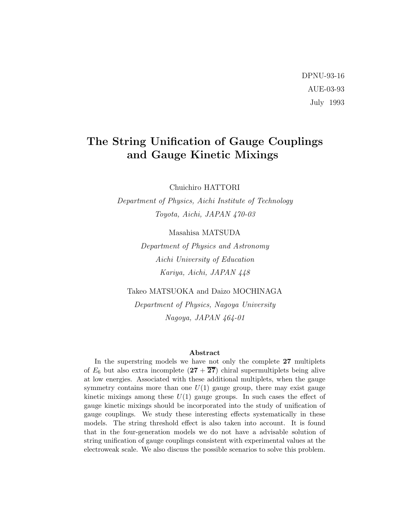# DPNU-93-16 AUE-03-93 July 1993

# The String Unification of Gauge Couplings and Gauge Kinetic Mixings

Chuichiro HATTORI

Department of Physics, Aichi Institute of Technology Toyota, Aichi, JAPAN 470-03

Masahisa MATSUDA

Department of Physics and Astronomy Aichi University of Education Kariya, Aichi, JAPAN 448

Takeo MATSUOKA and Daizo MOCHINAGA Department of Physics, Nagoya University Nagoya, JAPAN 464-01

#### Abstract

In the superstring models we have not only the complete 27 multiplets of  $E_6$  but also extra incomplete  $(27 + \overline{27})$  chiral supermultiplets being alive at low energies. Associated with these additional multiplets, when the gauge symmetry contains more than one  $U(1)$  gauge group, there may exist gauge kinetic mixings among these  $U(1)$  gauge groups. In such cases the effect of gauge kinetic mixings should be incorporated into the study of unification of gauge couplings. We study these interesting effects systematically in these models. The string threshold effect is also taken into account. It is found that in the four-generation models we do not have a advisable solution of string unification of gauge couplings consistent with experimental values at the electroweak scale. We also discuss the possible scenarios to solve this problem.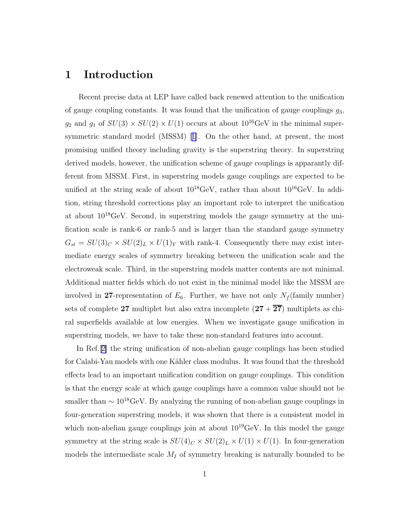### 1 Introduction

Recent precise data at LEP have called back renewed attention to the unification of gauge coupling constants. It was found that the unification of gauge couplings  $g_3$ ,  $g_2$  and  $g_1$  of  $SU(3) \times SU(2) \times U(1)$  occurs at about  $10^{16}$ GeV in the minimal super-symmetric standard model (MSSM) [\[1\]](#page-20-0). On the other hand, at present, the most promising unified theory including gravity is the superstring theory. In superstring derived models, however, the unification scheme of gauge couplings is apparantly different from MSSM. First, in superstring models gauge couplings are expected to be unified at the string scale of about  $10^{18} \text{GeV}$ , rather than about  $10^{16} \text{GeV}$ . In addition, string threshold corrections play an important role to interpret the unification at about  $10^{18}$ GeV. Second, in superstring models the gauge symmetry at the unification scale is rank-6 or rank-5 and is larger than the standard gauge symmetry  $G_{st} = SU(3)_C \times SU(2)_L \times U(1)_Y$  with rank-4. Consequently there may exist intermediate energy scales of symmetry breaking between the unification scale and the electroweak scale. Third, in the superstring models matter contents are not minimal. Additional matter fields which do not exist in the minimal model like the MSSM are involved in 27-representation of  $E_6$ . Further, we have not only  $N_f$  (family number) sets of complete 27 multiplet but also extra incomplete  $(27 + \overline{27})$  multiplets as chiral superfields available at low energies. When we investigate gauge unification in superstring models, we have to take these non-standard features into account.

In Ref.[[2\]](#page-20-0) the string unification of non-abelian gauge couplings has been studied for Calabi-Yau models with one Kähler class modulus. It was found that the threshold effects lead to an important unification condition on gauge couplings. This condition is that the energy scale at which gauge couplings have a common value should not be smaller than  $\sim 10^{18} \text{GeV}$ . By analyzing the running of non-abelian gauge couplings in four-generation superstring models, it was shown that there is a consistent model in which non-abelian gauge couplings join at about  $10^{19}$ GeV. In this model the gauge symmetry at the string scale is  $SU(4)_C \times SU(2)_L \times U(1) \times U(1)$ . In four-generation models the intermediate scale  $M_I$  of symmetry breaking is naturally bounded to be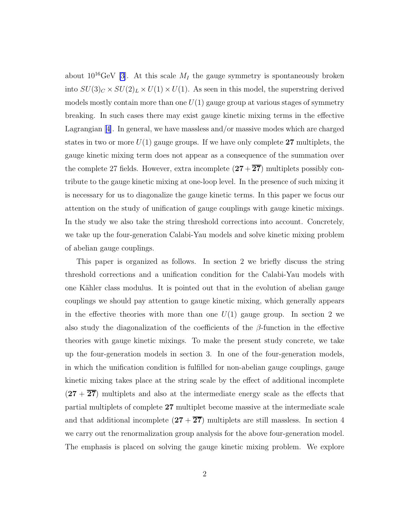about  $10^{16} \text{GeV}$  [\[3](#page-20-0)]. At this scale  $M_I$  the gauge symmetry is spontaneously broken into  $SU(3)_C \times SU(2)_L \times U(1) \times U(1)$ . As seen in this model, the superstring derived models mostly contain more than one  $U(1)$  gauge group at various stages of symmetry breaking. In such cases there may exist gauge kinetic mixing terms in the effective Lagrangian[[4\]](#page-20-0). In general, we have massless and/or massive modes which are charged states in two or more  $U(1)$  gauge groups. If we have only complete 27 multiplets, the gauge kinetic mixing term does not appear as a consequence of the summation over the complete 27 fields. However, extra incomplete  $(27 + \overline{27})$  multiplets possibly contribute to the gauge kinetic mixing at one-loop level. In the presence of such mixing it is necessary for us to diagonalize the gauge kinetic terms. In this paper we focus our attention on the study of unification of gauge couplings with gauge kinetic mixings. In the study we also take the string threshold corrections into account. Concretely, we take up the four-generation Calabi-Yau models and solve kinetic mixing problem of abelian gauge couplings.

This paper is organized as follows. In section 2 we briefly discuss the string threshold corrections and a unification condition for the Calabi-Yau models with one Kähler class modulus. It is pointed out that in the evolution of abelian gauge couplings we should pay attention to gauge kinetic mixing, which generally appears in the effective theories with more than one  $U(1)$  gauge group. In section 2 we also study the diagonalization of the coefficients of the  $\beta$ -function in the effective theories with gauge kinetic mixings. To make the present study concrete, we take up the four-generation models in section 3. In one of the four-generation models, in which the unification condition is fulfilled for non-abelian gauge couplings, gauge kinetic mixing takes place at the string scale by the effect of additional incomplete  $(27 + \overline{27})$  multiplets and also at the intermediate energy scale as the effects that partial multiplets of complete 27 multiplet become massive at the intermediate scale and that additional incomplete  $(27 + \overline{27})$  multiplets are still massless. In section 4 we carry out the renormalization group analysis for the above four-generation model. The emphasis is placed on solving the gauge kinetic mixing problem. We explore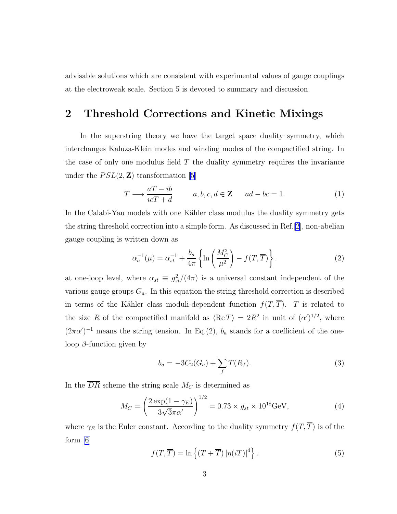advisable solutions which are consistent with experimental values of gauge couplings at the electroweak scale. Section 5 is devoted to summary and discussion.

### 2 Threshold Corrections and Kinetic Mixings

In the superstring theory we have the target space duality symmetry, which interchanges Kaluza-Klein modes and winding modes of the compactified string. In the case of only one modulus field  $T$  the duality symmetry requires the invariance under the  $PSL(2, \mathbf{Z})$  transformation [\[5\]](#page-20-0)

$$
T \longrightarrow \frac{aT - ib}{icT + d} \qquad a, b, c, d \in \mathbf{Z} \qquad ad - bc = 1. \tag{1}
$$

In the Calabi-Yau models with one Kähler class modulus the duality symmetry gets the string threshold correction into a simple form. As discussed in Ref.[\[2](#page-20-0)], non-abelian gauge coupling is written down as

$$
\alpha_a^{-1}(\mu) = \alpha_{st}^{-1} + \frac{b_a}{4\pi} \left\{ \ln \left( \frac{M_C^2}{\mu^2} \right) - f(T, \overline{T}) \right\}.
$$
 (2)

at one-loop level, where  $\alpha_{st} \equiv g_{st}^2/(4\pi)$  is a universal constant independent of the various gauge groups  $G_a$ . In this equation the string threshold correction is described in terms of the Kähler class moduli-dependent function  $f(T, \overline{T})$ . T is related to the size R of the compactified manifold as  $\langle \text{Re } T \rangle = 2R^2$  in unit of  $(\alpha')^{1/2}$ , where  $(2\pi\alpha')^{-1}$  means the string tension. In Eq.(2),  $b_a$  stands for a coefficient of the oneloop  $\beta$ -function given by

$$
b_a = -3C_2(G_a) + \sum_f T(R_f). \tag{3}
$$

In the  $\overline{DR}$  scheme the string scale  $M_C$  is determined as

$$
M_C = \left(\frac{2 \exp(1 - \gamma_E)}{3\sqrt{3}\pi\alpha'}\right)^{1/2} = 0.73 \times g_{st} \times 10^{18} \text{GeV},\tag{4}
$$

where  $\gamma_E$  is the Euler constant. According to the duality symmetry  $f(T, \overline{T})$  is of the form [\[6](#page-20-0)]

$$
f(T,\overline{T}) = \ln\left\{ (T+\overline{T}) \left| \eta(iT) \right|^4 \right\}.
$$
 (5)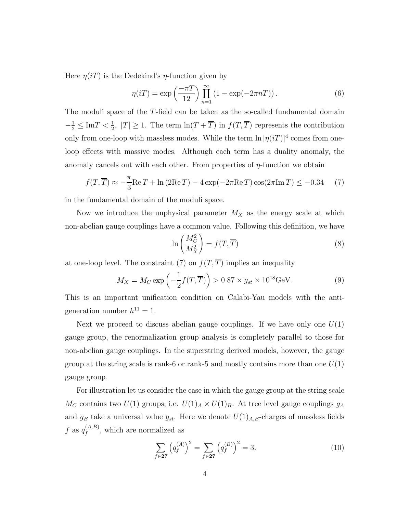Here  $\eta(i)$  is the Dedekind's  $\eta$ -function given by

$$
\eta(i) = \exp\left(\frac{-\pi T}{12}\right) \prod_{n=1}^{\infty} \left(1 - \exp(-2\pi n) \right). \tag{6}
$$

The moduli space of the T-field can be taken as the so-called fundamental domain  $-\frac{1}{2} \leq \text{Im} T < \frac{1}{2}$ ,  $|T| \geq 1$ . The term  $\ln(T + \overline{T})$  in  $f(T, \overline{T})$  represents the contribution only from one-loop with massless modes. While the term  $\ln |\eta(iT)|^4$  comes from oneloop effects with massive modes. Although each term has a duality anomaly, the anomaly cancels out with each other. From properties of  $\eta$ -function we obtain

$$
f(T,\overline{T}) \approx -\frac{\pi}{3} \text{Re}\, T + \ln(2 \text{Re}\, T) - 4 \exp(-2\pi \text{Re}\, T) \cos(2\pi \text{Im}\, T) \le -0.34 \tag{7}
$$

in the fundamental domain of the moduli space.

Now we introduce the unphysical parameter  $M_X$  as the energy scale at which non-abelian gauge couplings have a common value. Following this definition, we have

$$
\ln\left(\frac{M_C^2}{M_X^2}\right) = f(T, \overline{T})\tag{8}
$$

at one-loop level. The constraint (7) on  $f(T, \overline{T})$  implies an inequality

$$
M_X = M_C \exp\left(-\frac{1}{2}f(T,\overline{T})\right) > 0.87 \times g_{st} \times 10^{18} \text{GeV}.
$$
 (9)

This is an important unification condition on Calabi-Yau models with the antigeneration number  $h^{11} = 1$ .

Next we proceed to discuss abelian gauge couplings. If we have only one  $U(1)$ gauge group, the renormalization group analysis is completely parallel to those for non-abelian gauge couplings. In the superstring derived models, however, the gauge group at the string scale is rank-6 or rank-5 and mostly contains more than one  $U(1)$ gauge group.

For illustration let us consider the case in which the gauge group at the string scale  $M_C$  contains two  $U(1)$  groups, i.e.  $U(1)_A \times U(1)_B$ . At tree level gauge couplings  $g_A$ and  $g_B$  take a universal value  $g_{st}$ . Here we denote  $U(1)_{A,B}$ -charges of massless fields f as  $q_f^{(A,B)}$  $f_f^{(A,B)}$ , which are normalized as

$$
\sum_{f \in \mathbf{27}} \left( q_f^{(A)} \right)^2 = \sum_{f \in \mathbf{27}} \left( q_f^{(B)} \right)^2 = 3. \tag{10}
$$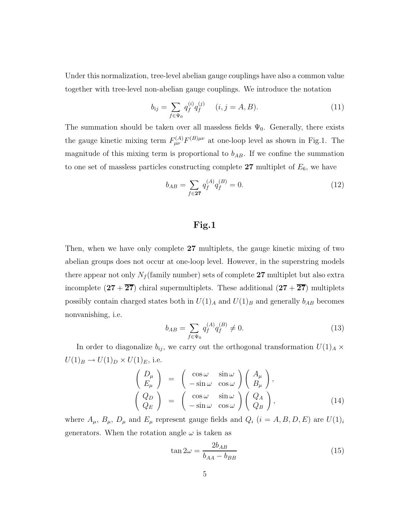<span id="page-5-0"></span>Under this normalization, tree-level abelian gauge couplings have also a common value together with tree-level non-abelian gauge couplings. We introduce the notation

$$
b_{ij} = \sum_{f \in \Psi_0} q_f^{(i)} q_f^{(j)} \quad (i, j = A, B). \tag{11}
$$

The summation should be taken over all massless fields  $\Psi_0$ . Generally, there exists the gauge kinetic mixing term  $F_{\mu\nu}^{(A)}F^{(B)\mu\nu}$  at one-loop level as shown in Fig.1. The magnitude of this mixing term is proportional to  $b_{AB}$ . If we confine the summation to one set of massless particles constructing complete  $27$  multiplet of  $E_6$ , we have

$$
b_{AB} = \sum_{f \in \mathbf{27}} q_f^{(A)} q_f^{(B)} = 0. \tag{12}
$$

### Fig.1

Then, when we have only complete 27 multiplets, the gauge kinetic mixing of two abelian groups does not occur at one-loop level. However, in the superstring models there appear not only  $N_f$  (family number) sets of complete 27 multiplet but also extra incomplete  $(27 + \overline{27})$  chiral supermultiplets. These additional  $(27 + \overline{27})$  multiplets possibly contain charged states both in  $U(1)_A$  and  $U(1)_B$  and generally  $b_{AB}$  becomes nonvanishing, i.e.

$$
b_{AB} = \sum_{f \in \Psi_0} q_f^{(A)} q_f^{(B)} \neq 0. \tag{13}
$$

In order to diagonalize  $b_{ij}$ , we carry out the orthogonal transformation  $U(1)_A \times$  $U(1)_B \rightarrow U(1)_D \times U(1)_E$ , i.e.

$$
\begin{pmatrix}\nD_{\mu} \\
E_{\mu}\n\end{pmatrix} = \begin{pmatrix}\n\cos \omega & \sin \omega \\
-\sin \omega & \cos \omega\n\end{pmatrix} \begin{pmatrix}\nA_{\mu} \\
B_{\mu}\n\end{pmatrix},
$$
\n
$$
\begin{pmatrix}\nQ_{D} \\
Q_{E}\n\end{pmatrix} = \begin{pmatrix}\n\cos \omega & \sin \omega \\
-\sin \omega & \cos \omega\n\end{pmatrix} \begin{pmatrix}\nQ_{A} \\
Q_{B}\n\end{pmatrix},
$$
\n(14)

where  $A_{\mu}$ ,  $B_{\mu}$ ,  $D_{\mu}$  and  $E_{\mu}$  represent gauge fields and  $Q_i$   $(i = A, B, D, E)$  are  $U(1)_i$ generators. When the rotation angle  $\omega$  is taken as

$$
\tan 2\omega = \frac{2b_{AB}}{b_{AA} - b_{BB}}\tag{15}
$$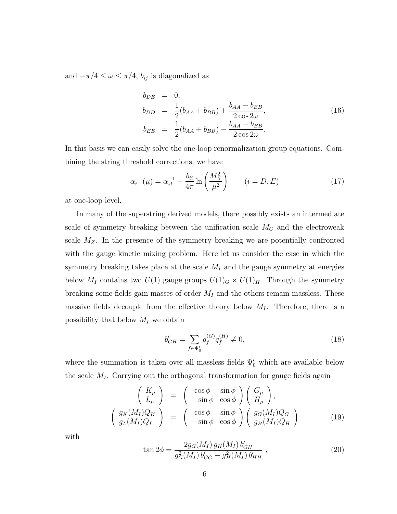and  $-\pi/4 \leq \omega \leq \pi/4$ ,  $b_{ij}$  is diagonalized as

$$
b_{DE} = 0,
$$
  
\n
$$
b_{DD} = \frac{1}{2}(b_{AA} + b_{BB}) + \frac{b_{AA} - b_{BB}}{2 \cos 2\omega},
$$
  
\n
$$
b_{EE} = \frac{1}{2}(b_{AA} + b_{BB}) - \frac{b_{AA} - b_{BB}}{2 \cos 2\omega}.
$$
\n(16)

In this basis we can easily solve the one-loop renormalization group equations. Combining the string threshold corrections, we have

$$
\alpha_i^{-1}(\mu) = \alpha_{st}^{-1} + \frac{b_{ii}}{4\pi} \ln\left(\frac{M_X^2}{\mu^2}\right) \qquad (i = D, E) \tag{17}
$$

at one-loop level.

In many of the superstring derived models, there possibly exists an intermediate scale of symmetry breaking between the unification scale  $M_C$  and the electroweak scale  $M_Z$ . In the presence of the symmetry breaking we are potentially confronted with the gauge kinetic mixing problem. Here let us consider the case in which the symmetry breaking takes place at the scale  $M_I$  and the gauge symmetry at energies below  $M_I$  contains two  $U(1)$  gauge groups  $U(1)_G \times U(1)_H$ . Through the symmetry breaking some fields gain masses of order  $M_I$  and the others remain massless. These massive fields decouple from the effective theory below  $M_I$ . Therefore, there is a possibility that below  $M_I$  we obtain

$$
b'_{GH} = \sum_{f \in \Psi'_0} q_f^{(G)} q_f^{(H)} \neq 0,\tag{18}
$$

where the summation is taken over all massless fields  $\Psi_0'$  which are available below the scale  $M_I$ . Carrying out the orthogonal transformation for gauge fields again

$$
\begin{pmatrix}\nK_{\mu} \\
L_{\mu}\n\end{pmatrix} = \begin{pmatrix}\n\cos \phi & \sin \phi \\
-\sin \phi & \cos \phi\n\end{pmatrix} \begin{pmatrix}\nG_{\mu} \\
H_{\mu}\n\end{pmatrix},
$$
\n
$$
\begin{pmatrix}\ng_K(M_I)Q_K \\
g_L(M_I)Q_L\n\end{pmatrix} = \begin{pmatrix}\n\cos \phi & \sin \phi \\
-\sin \phi & \cos \phi\n\end{pmatrix} \begin{pmatrix}\ng_G(M_I)Q_G \\
g_H(M_I)Q_H\n\end{pmatrix}
$$
\n(19)

with

$$
\tan 2\phi = \frac{2g_G(M_I) g_H(M_I) b'_{GH}}{g_G^2(M_I) b'_{GG} - g_H^2(M_I) b'_{HH}},
$$
\n(20)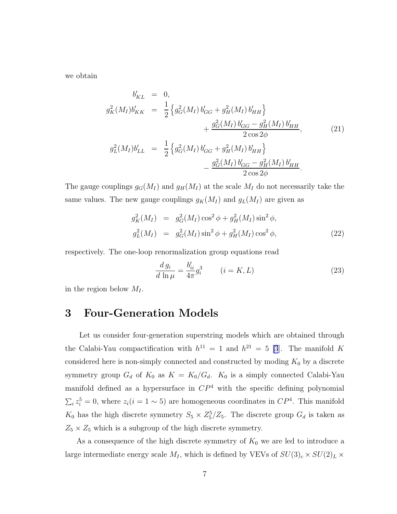we obtain

$$
b'_{KL} = 0,
$$
  
\n
$$
g_K^2(M_I)b'_{KK} = \frac{1}{2} \left\{ g_G^2(M_I) b'_{GG} + g_H^2(M_I) b'_{HH} \right\} + \frac{g_G^2(M_I) b'_{GG} - g_H^2(M_I) b'_{HH}}{2 \cos 2\phi},
$$
  
\n
$$
g_L^2(M_I)b'_{LL} = \frac{1}{2} \left\{ g_G^2(M_I) b'_{GG} + g_H^2(M_I) b'_{HH} \right\} - \frac{g_G^2(M_I) b'_{GG} - g_H^2(M_I) b'_{HH}}{2 \cos 2\phi}.
$$
\n(21)

The gauge couplings  $g_G(M_I)$  and  $g_H(M_I)$  at the scale  $M_I$  do not necessarily take the same values. The new gauge couplings  $g_K(M_I)$  and  $g_L(M_I)$  are given as

$$
g_K^2(M_I) = g_G^2(M_I) \cos^2 \phi + g_H^2(M_I) \sin^2 \phi,
$$
  
\n
$$
g_L^2(M_I) = g_G^2(M_I) \sin^2 \phi + g_H^2(M_I) \cos^2 \phi,
$$
\n(22)

respectively. The one-loop renormalization group equations read

$$
\frac{d g_i}{d \ln \mu} = \frac{b'_{ii}}{4\pi} g_i^3 \qquad (i = K, L)
$$
\n(23)

in the region below  $M_I$ .

### 3 Four-Generation Models

Let us consider four-generation superstring models which are obtained through the Calabi-Yau compactification with  $h^{11} = 1$  and  $h^{21} = 5$  [\[3](#page-20-0)]. The manifold K considered here is non-simply connected and constructed by moding  $K_0$  by a discrete symmetry group  $G_d$  of  $K_0$  as  $K = K_0/G_d$ .  $K_0$  is a simply connected Calabi-Yau manifold defined as a hypersurface in  $\mathbb{CP}^4$  with the specific defining polynomial  $\sum_i z_i^5 = 0$ , where  $z_i(i = 1 \sim 5)$  are homogeneous coordinates in  $\mathbb{CP}^4$ . This manifold  $K_0$  has the high discrete symmetry  $S_5 \times Z_5^5/Z_5$ . The discrete group  $G_d$  is taken as  $Z_5 \times Z_5$  which is a subgroup of the high discrete symmetry.

As a consequence of the high discrete symmetry of  $K_0$  we are led to introduce a large intermediate energy scale  $M_I$ , which is defined by VEVs of  $SU(3)_c \times SU(2)_L \times$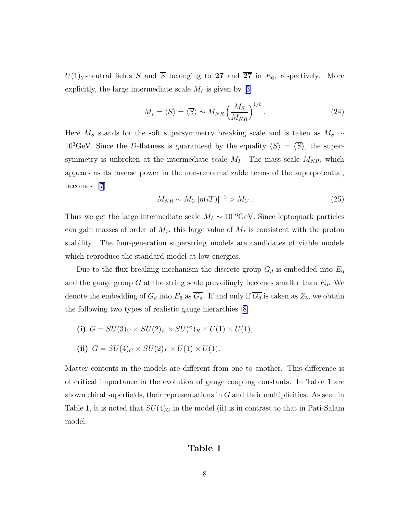$U(1)_Y$ -neutral fields S and  $\overline{S}$  belonging to 27 and  $\overline{27}$  in  $E_6$ , respectively. More explicitly,the large intermediate scale  $M_I$  is given by [[3\]](#page-20-0)

$$
M_I = \langle S \rangle = \langle \overline{S} \rangle \sim M_{NR} \left(\frac{M_S}{M_{NR}}\right)^{1/6}.
$$
 (24)

Here  $M_S$  stands for the soft supersymmetry breaking scale and is taken as  $M_S \sim$  $10^3$ GeV. Since the D-flatness is guaranteed by the equality  $\langle S \rangle = \langle \overline{S} \rangle$ , the supersymmetry is unbroken at the intermediate scale  $M_I$ . The mass scale  $M_{NR}$ , which appears as its inverse power in the non-renormalizable terms of the superpotential, becomes [\[7\]](#page-20-0)

$$
M_{NR} \sim M_C |\eta(iT)|^{-2} > M_C. \tag{25}
$$

Thus we get the large intermediate scale  $M_I \sim 10^{16} \text{GeV}$ . Since leptoquark particles can gain masses of order of  $M_I$ , this large value of  $M_I$  is consistent with the proton stability. The four-generation superstring models are candidates of viable models which reproduce the standard model at low energies.

Due to the flux breaking mechanism the discrete group  $G_d$  is embedded into  $E_6$ and the gauge group  $G$  at the string scale prevailingly becomes smaller than  $E_6$ . We denote the embedding of  $G_d$  into  $E_6$  as  $\overline{G_d}$ . If and only if  $\overline{G_d}$  is taken as  $Z_5$ , we obtain the following two types of realistic gauge hierarchies[[8\]](#page-20-0)

(i) 
$$
G = SU(3)_C \times SU(2)_L \times SU(2)_R \times U(1) \times U(1)
$$
,

(ii) 
$$
G = SU(4)_C \times SU(2)_L \times U(1) \times U(1).
$$

Matter contents in the models are different from one to another. This difference is of critical importance in the evolution of gauge coupling constants. In Table 1 are shown chiral superfields, their representations in  $G$  and their multiplicities. As seen in Table 1, it is noted that  $SU(4)_C$  in the model (ii) is in contrast to that in Pati-Salam model.

#### Table 1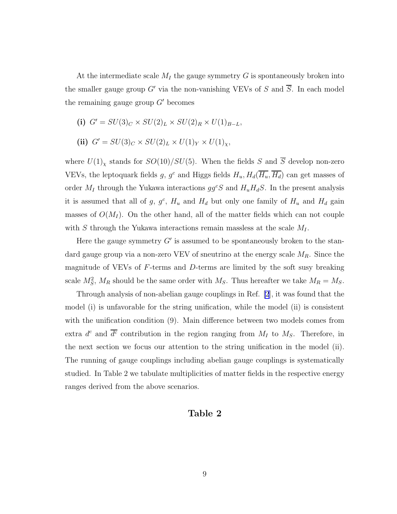At the intermediate scale  $M_I$  the gauge symmetry G is spontaneously broken into the smaller gauge group G' via the non-vanishing VEVs of S and  $\overline{S}$ . In each model the remaining gauge group  $G'$  becomes

(i) 
$$
G' = SU(3)_C \times SU(2)_L \times SU(2)_R \times U(1)_{B-L}
$$
,

(ii) 
$$
G' = SU(3)_C \times SU(2)_L \times U(1)_Y \times U(1)_X
$$
,

where  $U(1)_\chi$  stands for  $SO(10)/SU(5)$ . When the fields S and  $\overline{S}$  develop non-zero VEVs, the leptoquark fields g,  $g^c$  and Higgs fields  $H_u$ ,  $H_d(\overline{H_u}, \overline{H_d})$  can get masses of order  $M_I$  through the Yukawa interactions  $gg^cS$  and  $H_uH_dS$ . In the present analysis it is assumed that all of g,  $g^c$ ,  $H_u$  and  $H_d$  but only one family of  $H_u$  and  $H_d$  gain masses of  $O(M_I)$ . On the other hand, all of the matter fields which can not couple with S through the Yukawa interactions remain massless at the scale  $M_I$ .

Here the gauge symmetry  $G'$  is assumed to be spontaneously broken to the standard gauge group via a non-zero VEV of sneutrino at the energy scale  $M_R$ . Since the magnitude of VEVs of  $F$ -terms and  $D$ -terms are limited by the soft susy breaking scale  $M_S^2$ ,  $M_R$  should be the same order with  $M_S$ . Thus hereafter we take  $M_R = M_S$ .

Through analysis of non-abelian gauge couplings in Ref. [\[2](#page-20-0)], it was found that the model (i) is unfavorable for the string unification, while the model (ii) is consistent with the unification condition  $(9)$ . Main difference between two models comes from extra  $d^c$  and  $\overline{d^c}$  contribution in the region ranging from  $M_I$  to  $M_S$ . Therefore, in the next section we focus our attention to the string unification in the model (ii). The running of gauge couplings including abelian gauge couplings is systematically studied. In Table 2 we tabulate multiplicities of matter fields in the respective energy ranges derived from the above scenarios.

#### Table 2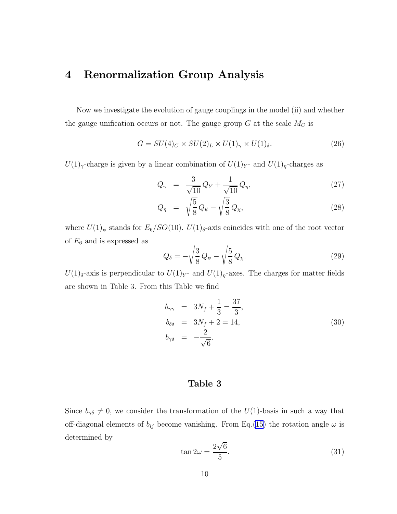## 4 Renormalization Group Analysis

Now we investigate the evolution of gauge couplings in the model (ii) and whether the gauge unification occurs or not. The gauge group  $G$  at the scale  $M_C$  is

$$
G = SU(4)_C \times SU(2)_L \times U(1)_\gamma \times U(1)_\delta. \tag{26}
$$

 $U(1)_{\gamma}$ -charge is given by a linear combination of  $U(1)_{Y}$ - and  $U(1)_{\eta}$ -charges as

$$
Q_{\gamma} = \frac{3}{\sqrt{10}} Q_Y + \frac{1}{\sqrt{10}} Q_{\eta}, \qquad (27)
$$

$$
Q_{\eta} = \sqrt{\frac{5}{8}} Q_{\psi} - \sqrt{\frac{3}{8}} Q_{\chi}, \qquad (28)
$$

where  $U(1)_{\psi}$  stands for  $E_6/SO(10)$ .  $U(1)_{\delta}$ -axis coincides with one of the root vector of  $E_6$  and is expressed as

$$
Q_{\delta} = -\sqrt{\frac{3}{8}} Q_{\psi} - \sqrt{\frac{5}{8}} Q_{\chi}.
$$
 (29)

 $U(1)$ <sub>δ</sub>-axis is perpendicular to  $U(1)_{Y}$ - and  $U(1)_{\eta}$ -axes. The charges for matter fields are shown in Table 3. From this Table we find

$$
b_{\gamma\gamma} = 3N_f + \frac{1}{3} = \frac{37}{3}, b_{\delta\delta} = 3N_f + 2 = 14, b_{\gamma\delta} = -\frac{2}{\sqrt{6}}.
$$
 (30)

### Table 3

Since  $b_{\gamma\delta} \neq 0$ , we consider the transformation of the  $U(1)$ -basis in such a way that off-diagonal elements of  $b_{ij}$  become vanishing. From Eq.[\(15](#page-5-0)) the rotation angle  $\omega$  is determined by

$$
\tan 2\omega = \frac{2\sqrt{6}}{5}.\tag{31}
$$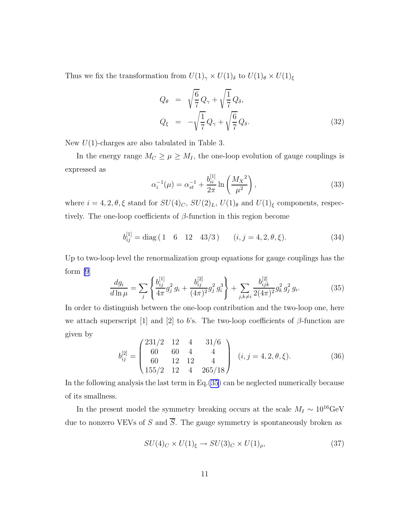Thus we fix the transformation from  $U(1)_{\gamma} \times U(1)_{\delta}$  to  $U(1)_{\theta} \times U(1)_{\xi}$ 

$$
Q_{\theta} = \sqrt{\frac{6}{7}} Q_{\gamma} + \sqrt{\frac{1}{7}} Q_{\delta},
$$
  
\n
$$
Q_{\xi} = -\sqrt{\frac{1}{7}} Q_{\gamma} + \sqrt{\frac{6}{7}} Q_{\delta}.
$$
\n(32)

New  $U(1)$ -charges are also tabulated in Table 3.

In the energy range  $M_C \geq \mu \geq M_I$ , the one-loop evolution of gauge couplings is expressed as

$$
\alpha_i^{-1}(\mu) = \alpha_{st}^{-1} + \frac{b_{ii}^{[1]}}{2\pi} \ln\left(\frac{M_X^2}{\mu^2}\right),\tag{33}
$$

where  $i = 4, 2, \theta, \xi$  stand for  $SU(4)_C$ ,  $SU(2)_L$ ,  $U(1)_\theta$  and  $U(1)_\xi$  components, respectively. The one-loop coefficients of  $\beta$ -function in this region become

$$
b_{ij}^{[1]} = \text{diag}\begin{pmatrix} 1 & 6 & 12 & 43/3 \end{pmatrix} \qquad (i, j = 4, 2, \theta, \xi). \tag{34}
$$

Up to two-loop level the renormalization group equations for gauge couplings has the form [\[9](#page-21-0)]

$$
\frac{dg_i}{d\ln\mu} = \sum_j \left\{ \frac{b_{ij}^{[1]}}{4\pi} g_j^2 g_i + \frac{b_{ij}^{[2]}}{(4\pi)^2} g_j^2 g_i^3 \right\} + \sum_{j,k\neq i} \frac{b_{ijk}^{[2]}}{2(4\pi)^2} g_k^2 g_j^2 g_i. \tag{35}
$$

In order to distinguish between the one-loop contribution and the two-loop one, here we attach superscript [1] and [2] to b's. The two-loop coefficients of  $\beta$ -function are given by

$$
b_{ij}^{[2]} = \begin{pmatrix} 231/2 & 12 & 4 & 31/6 \\ 60 & 60 & 4 & 4 \\ 60 & 12 & 12 & 4 \\ 155/2 & 12 & 4 & 265/18 \end{pmatrix} (i, j = 4, 2, \theta, \xi).
$$
 (36)

In the following analysis the last term in Eq.(35) can be neglected numerically because of its smallness.

In the present model the symmetry breaking occurs at the scale  $M_I \sim 10^{16} \rm{GeV}$ due to nonzero VEVs of S and  $\overline{S}$ . The gauge symmetry is spontaneously broken as

$$
SU(4)_C \times U(1)_\xi \to SU(3)_C \times U(1)_\rho,\tag{37}
$$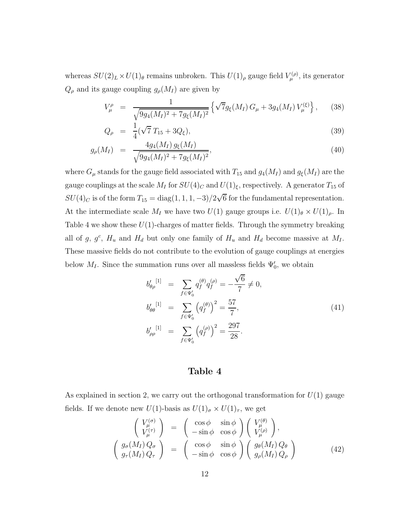whereas  $SU(2)_L \times U(1)_\theta$  remains unbroken. This  $U(1)_\rho$  gauge field  $V^{(\rho)}_\mu$ , its generator  $Q_{\rho}$  and its gauge coupling  $g_{\rho}(M_I)$  are given by

$$
V^{\rho}_{\mu} = \frac{1}{\sqrt{9g_4(M_I)^2 + 7g_{\xi}(M_I)^2}} \left\{ \sqrt{7}g_{\xi}(M_I) G_{\mu} + 3g_4(M_I) V^{(\xi)}_{\mu} \right\}, \quad (38)
$$

$$
Q_{\rho} = \frac{1}{4}(\sqrt{7}T_{15} + 3Q_{\xi}), \tag{39}
$$

$$
g_{\rho}(M_I) = \frac{4g_4(M_I) g_{\xi}(M_I)}{\sqrt{9g_4(M_I)^2 + 7g_{\xi}(M_I)^2}},
$$
\n(40)

where  $G_{\mu}$  stands for the gauge field associated with  $T_{15}$  and  $g_4(M_I)$  and  $g_{\xi}(M_I)$  are the gauge couplings at the scale  $M_I$  for  $SU(4)_C$  and  $U(1)_\xi$ , respectively. A generator  $T_{15}$  of  $SU(4)_C$  is of the form  $T_{15} = \text{diag}(1, 1, 1, -3)/2\sqrt{6}$  for the fundamental representation. At the intermediate scale  $M_I$  we have two  $U(1)$  gauge groups i.e.  $U(1)_{\theta} \times U(1)_{\rho}$ . In Table 4 we show these  $U(1)$ -charges of matter fields. Through the symmetry breaking all of g,  $g^c$ ,  $H_u$  and  $H_d$  but only one family of  $H_u$  and  $H_d$  become massive at  $M_l$ . These massive fields do not contribute to the evolution of gauge couplings at energies below  $M_I$ . Since the summation runs over all massless fields  $\Psi'_0$ , we obtain

$$
b'_{\theta\rho}^{[1]} = \sum_{f \in \Psi'_0} q_f^{(\theta)} q_f^{(\rho)} = -\frac{\sqrt{6}}{7} \neq 0,
$$
  
\n
$$
b'_{\theta\theta}^{[1]} = \sum_{f \in \Psi'_0} \left( q_f^{(\theta)} \right)^2 = \frac{57}{7},
$$
  
\n
$$
b'_{\rho\rho}^{[1]} = \sum_{f \in \Psi'_0} \left( q_f^{(\rho)} \right)^2 = \frac{297}{28}.
$$
\n(41)

#### Table 4

As explained in section 2, we carry out the orthogonal transformation for  $U(1)$  gauge fields. If we denote new  $U(1)$ -basis as  $U(1)_{\sigma} \times U(1)_{\tau}$ , we get

$$
\begin{pmatrix}\nV_{\mu}^{(\sigma)} \\
V_{\mu}^{(\tau)}\n\end{pmatrix} = \begin{pmatrix}\n\cos\phi & \sin\phi \\
-\sin\phi & \cos\phi\n\end{pmatrix} \begin{pmatrix}\nV_{\mu}^{(\theta)} \\
V_{\mu}^{(\rho)}\n\end{pmatrix},
$$
\n
$$
\begin{pmatrix}\ng_{\sigma}(M_I)Q_{\sigma} \\
g_{\tau}(M_I)Q_{\tau}\n\end{pmatrix} = \begin{pmatrix}\n\cos\phi & \sin\phi \\
-\sin\phi & \cos\phi\n\end{pmatrix} \begin{pmatrix}\ng_{\theta}(M_I)Q_{\theta} \\
g_{\rho}(M_I)Q_{\rho}\n\end{pmatrix}
$$
\n(42)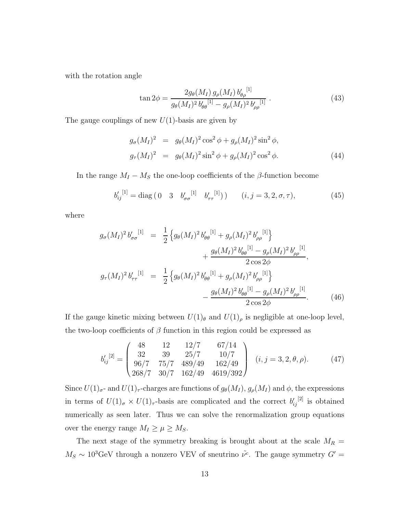with the rotation angle

$$
\tan 2\phi = \frac{2g_{\theta}(M_I) g_{\rho}(M_I) b'_{\theta\rho}^{[1]}}{g_{\theta}(M_I)^2 b'_{\theta\theta}^{[1]} - g_{\rho}(M_I)^2 b'_{\rho\rho}^{[1]}}.
$$
\n(43)

The gauge couplings of new  $U(1)$ -basis are given by

$$
g_{\sigma}(M_I)^2 = g_{\theta}(M_I)^2 \cos^2 \phi + g_{\rho}(M_I)^2 \sin^2 \phi,
$$
  
\n
$$
g_{\tau}(M_I)^2 = g_{\theta}(M_I)^2 \sin^2 \phi + g_{\rho}(M_I)^2 \cos^2 \phi.
$$
 (44)

In the range  $M_I - M_S$  the one-loop coefficients of the  $\beta$ -function become

$$
b'_{ij}^{[1]} = \text{diag}\begin{pmatrix} 0 & 3 & b'_{\sigma\sigma}^{[1]} & b'_{\tau\tau}^{[1]} \end{pmatrix} \begin{pmatrix} i, j = 3, 2, \sigma, \tau \end{pmatrix},\tag{45}
$$

where

$$
g_{\sigma}(M_{I})^{2} b'_{\sigma\sigma}^{[1]} = \frac{1}{2} \left\{ g_{\theta}(M_{I})^{2} b'_{\theta\theta}^{[1]} + g_{\rho}(M_{I})^{2} b'_{\rho\rho}^{[1]} \right\} + \frac{g_{\theta}(M_{I})^{2} b'_{\theta\theta}^{[1]} - g_{\rho}(M_{I})^{2} b'_{\rho\rho}^{[1]}}{2 \cos 2\phi},
$$
  

$$
g_{\tau}(M_{I})^{2} b'_{\tau\tau}^{[1]} = \frac{1}{2} \left\{ g_{\theta}(M_{I})^{2} b'_{\theta\theta}^{[1]} + g_{\rho}(M_{I})^{2} b'_{\rho\rho}^{[1]} \right\} - \frac{g_{\theta}(M_{I})^{2} b'_{\theta\theta}^{[1]} - g_{\rho}(M_{I})^{2} b'_{\rho\rho}^{[1]} - g_{\rho}(M_{I})^{2} b'_{\rho\rho}^{[1]} }{2 \cos 2\phi}. \tag{46}
$$

If the gauge kinetic mixing between  $U(1)_{\theta}$  and  $U(1)_{\rho}$  is negligible at one-loop level, the two-loop coefficients of  $\beta$  function in this region could be expressed as

$$
b'_{ij}^{[2]} = \begin{pmatrix} 48 & 12 & 12/7 & 67/14 \\ 32 & 39 & 25/7 & 10/7 \\ 96/7 & 75/7 & 489/49 & 162/49 \\ 268/7 & 30/7 & 162/49 & 4619/392 \end{pmatrix} (i, j = 3, 2, \theta, \rho).
$$
 (47)

Since  $U(1)_{\sigma}$ - and  $U(1)_{\tau}$ -charges are functions of  $g_{\theta}(M_I)$ ,  $g_{\rho}(M_I)$  and  $\phi$ , the expressions in terms of  $U(1)_{\sigma} \times U(1)_{\tau}$ -basis are complicated and the correct  $b'_{ij}$ <sup>[2]</sup> is obtained numerically as seen later. Thus we can solve the renormalization group equations over the energy range  $M_I \ge \mu \ge M_S$ .

The next stage of the symmetry breaking is brought about at the scale  $M_R =$  $M_S \sim 10^3 \text{GeV}$  through a nonzero VEV of sneutrino  $\tilde{\nu}^c$ . The gauge symmetry  $G' =$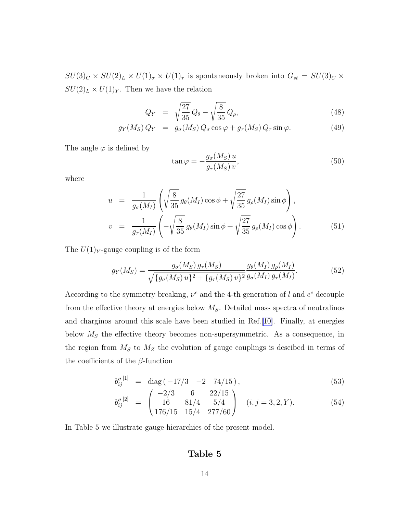$SU(3)_C \times SU(2)_L \times U(1)_{\sigma} \times U(1)_{\tau}$  is spontaneously broken into  $G_{st} = SU(3)_C \times$  $SU(2)_L \times U(1)_Y$ . Then we have the relation

$$
Q_Y = \sqrt{\frac{27}{35}} Q_\theta - \sqrt{\frac{8}{35}} Q_\rho, \tag{48}
$$

$$
g_Y(M_S) Q_Y = g_\sigma(M_S) Q_\sigma \cos \varphi + g_\tau(M_S) Q_\tau \sin \varphi.
$$
 (49)

The angle  $\varphi$  is defined by

$$
\tan \varphi = -\frac{g_{\sigma}(M_S)u}{g_{\tau}(M_S)v},\tag{50}
$$

where

$$
u = \frac{1}{g_{\sigma}(M_I)} \left( \sqrt{\frac{8}{35}} g_{\theta}(M_I) \cos \phi + \sqrt{\frac{27}{35}} g_{\rho}(M_I) \sin \phi \right),
$$
  

$$
v = \frac{1}{g_{\tau}(M_I)} \left( -\sqrt{\frac{8}{35}} g_{\theta}(M_I) \sin \phi + \sqrt{\frac{27}{35}} g_{\rho}(M_I) \cos \phi \right).
$$
(51)

The  $U(1)_Y$ -gauge coupling is of the form

$$
g_Y(M_S) = \frac{g_\sigma(M_S) g_\tau(M_S)}{\sqrt{\{g_\sigma(M_S) u\}^2 + \{g_\tau(M_S) v\}^2} \frac{g_\theta(M_I) g_\rho(M_I)}{g_\sigma(M_I) g_\tau(M_I)}}.
$$
(52)

According to the symmetry breaking,  $\nu^c$  and the 4-th generation of l and  $e^c$  decouple from the effective theory at energies below  $M<sub>S</sub>$ . Detailed mass spectra of neutralinos and charginos around this scale have been studied in Ref.[\[10](#page-21-0)]. Finally, at energies below  $M<sub>S</sub>$  the effective theory becomes non-supersymmetric. As a consequence, in the region from  $M<sub>S</sub>$  to  $M<sub>Z</sub>$  the evolution of gauge couplings is descibed in terms of the coefficients of the  $\beta$ -function

$$
b_{ij}''^{[1]} = \text{diag}(-17/3 \quad -2 \quad 74/15), \tag{53}
$$

$$
b_{ij}''^{[2]} = \begin{pmatrix} -2/3 & 6 & 22/15 \\ 16 & 81/4 & 5/4 \\ 176/15 & 15/4 & 277/60 \end{pmatrix} \quad (i, j = 3, 2, Y). \tag{54}
$$

In Table 5 we illustrate gauge hierarchies of the present model.

### Table 5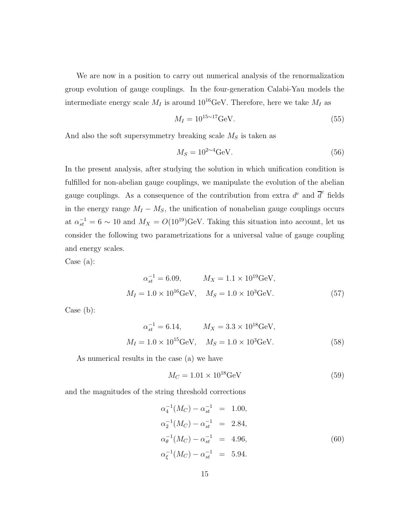We are now in a position to carry out numerical analysis of the renormalization group evolution of gauge couplings. In the four-generation Calabi-Yau models the intermediate energy scale  $M_I$  is around 10<sup>16</sup>GeV. Therefore, here we take  $M_I$  as

$$
M_I = 10^{15 \sim 17} \text{GeV}.
$$
 (55)

And also the soft supersymmetry breaking scale  $M<sub>S</sub>$  is taken as

$$
M_S = 10^{2 \sim 4} \text{GeV}.
$$
\n<sup>(56)</sup>

In the present analysis, after studying the solution in which unification condition is fulfilled for non-abelian gauge couplings, we manipulate the evolution of the abelian gauge couplings. As a consequence of the contribution from extra  $d^c$  and  $\overline{d}^c$  fields in the energy range  $M_I - M_S$ , the unification of nonabelian gauge couplings occurs at  $\alpha_{st}^{-1} = 6 \sim 10$  and  $M_X = O(10^{19})$ GeV. Taking this situation into account, let us consider the following two parametrizations for a universal value of gauge coupling and energy scales.

Case (a):

$$
\alpha_{st}^{-1} = 6.09, \qquad M_X = 1.1 \times 10^{19} \text{GeV},
$$
  

$$
M_I = 1.0 \times 10^{16} \text{GeV}, \qquad M_S = 1.0 \times 10^3 \text{GeV}.
$$
 (57)

Case (b):

$$
\alpha_{st}^{-1} = 6.14, \qquad M_X = 3.3 \times 10^{18} \text{GeV},
$$
  

$$
M_I = 1.0 \times 10^{15} \text{GeV}, \qquad M_S = 1.0 \times 10^3 \text{GeV}.
$$
 (58)

As numerical results in the case (a) we have

$$
M_C = 1.01 \times 10^{18} \text{GeV}
$$
 (59)

and the magnitudes of the string threshold corrections

$$
\alpha_4^{-1}(M_C) - \alpha_{st}^{-1} = 1.00,
$$
  
\n
$$
\alpha_2^{-1}(M_C) - \alpha_{st}^{-1} = 2.84,
$$
  
\n
$$
\alpha_\theta^{-1}(M_C) - \alpha_{st}^{-1} = 4.96,
$$
  
\n
$$
\alpha_\xi^{-1}(M_C) - \alpha_{st}^{-1} = 5.94.
$$
\n(60)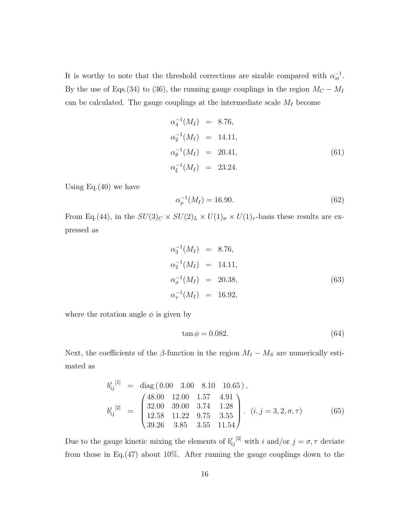It is worthy to note that the threshold corrections are sizable compared with  $\alpha_{st}^{-1}$ . By the use of Eqs.(34) to (36), the running gauge couplings in the region  $M_C - M_I$ can be calculated. The gauge couplings at the intermediate scale  $M_I$  become

$$
\alpha_4^{-1}(M_I) = 8.76,
$$
  
\n
$$
\alpha_2^{-1}(M_I) = 14.11,
$$
  
\n
$$
\alpha_\theta^{-1}(M_I) = 20.41,
$$
  
\n
$$
\alpha_\xi^{-1}(M_I) = 23.24.
$$
\n(61)

Using  $Eq.(40)$  we have

$$
\alpha_{\rho}^{-1}(M_I) = 16.90.\t(62)
$$

From Eq.(44), in the  $SU(3)_C \times SU(2)_L \times U(1)_\sigma \times U(1)_\tau$ -basis these results are expressed as

$$
\alpha_3^{-1}(M_I) = 8.76,
$$
  
\n
$$
\alpha_2^{-1}(M_I) = 14.11,
$$
  
\n
$$
\alpha_\sigma^{-1}(M_I) = 20.38,
$$
  
\n
$$
\alpha_\tau^{-1}(M_I) = 16.92,
$$
\n(63)

where the rotation angle  $\phi$  is given by

$$
\tan \phi = 0.082. \tag{64}
$$

Next, the coefficients of the  $\beta$ -function in the region  $M_I - M_S$  are numerically estimated as

$$
b'_{ij}^{[1]} = \text{diag}(0.00 \quad 3.00 \quad 8.10 \quad 10.65),
$$
  
\n
$$
b'_{ij}^{[2]} = \begin{pmatrix} 48.00 & 12.00 & 1.57 & 4.91 \\ 32.00 & 39.00 & 3.74 & 1.28 \\ 12.58 & 11.22 & 9.75 & 3.55 \\ 39.26 & 3.85 & 3.55 & 11.54 \end{pmatrix} . (i, j = 3, 2, \sigma, \tau) \tag{65}
$$

Due to the gauge kinetic mixing the elements of  $b'_{ij}$ <sup>[2]</sup> with i and/or  $j = \sigma, \tau$  deviate from those in Eq.(47) about 10%. After running the gauge couplings down to the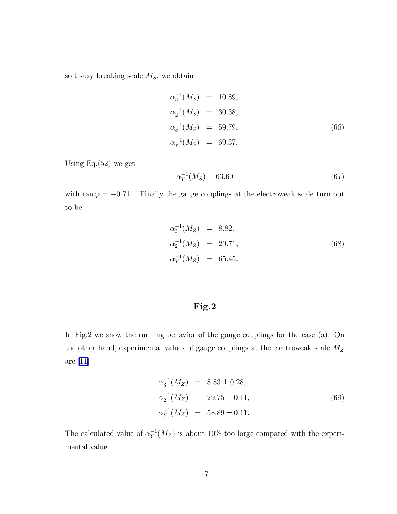soft susy breaking scale  $M_S$ , we obtain

$$
\alpha_3^{-1}(M_S) = 10.89,
$$
  
\n
$$
\alpha_2^{-1}(M_S) = 30.38,
$$
  
\n
$$
\alpha_\sigma^{-1}(M_S) = 59.79,
$$
  
\n
$$
\alpha_\tau^{-1}(M_S) = 69.37.
$$
\n(66)

Using Eq. $(52)$  we get

$$
\alpha_Y^{-1}(M_S) = 63.60\tag{67}
$$

with  $\tan \varphi = -0.711$ . Finally the gauge couplings at the electroweak scale turn out to be

$$
\alpha_3^{-1}(M_Z) = 8.82,
$$
  
\n
$$
\alpha_2^{-1}(M_Z) = 29.71,
$$
  
\n
$$
\alpha_Y^{-1}(M_Z) = 65.45.
$$
\n(68)

## Fig.2

In Fig.2 we show the running behavior of the gauge couplings for the case (a). On the other hand, experimental values of gauge couplings at the electroweak scale  $M_Z$ are [\[11\]](#page-21-0)

$$
\alpha_3^{-1}(M_Z) = 8.83 \pm 0.28,
$$
  
\n
$$
\alpha_2^{-1}(M_Z) = 29.75 \pm 0.11,
$$
  
\n
$$
\alpha_Y^{-1}(M_Z) = 58.89 \pm 0.11.
$$
\n(69)

The calculated value of  $\alpha_Y^{-1}(M_Z)$  is about 10% too large compared with the experimental value.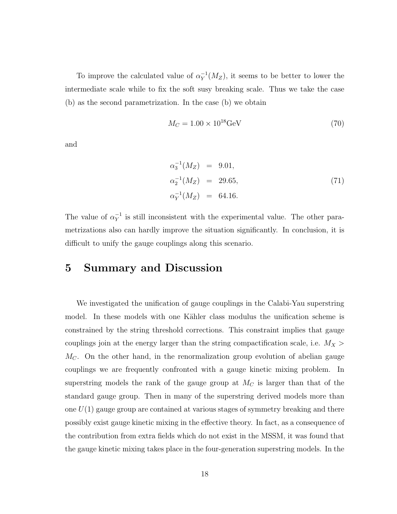To improve the calculated value of  $\alpha_Y^{-1}(M_Z)$ , it seems to be better to lower the intermediate scale while to fix the soft susy breaking scale. Thus we take the case (b) as the second parametrization. In the case (b) we obtain

$$
M_C = 1.00 \times 10^{18} \text{GeV} \tag{70}
$$

and

$$
\alpha_3^{-1}(M_Z) = 9.01,\n\alpha_2^{-1}(M_Z) = 29.65,\n\alpha_Y^{-1}(M_Z) = 64.16.
$$
\n(71)

The value of  $\alpha_Y^{-1}$  is still inconsistent with the experimental value. The other parametrizations also can hardly improve the situation significantly. In conclusion, it is difficult to unify the gauge couplings along this scenario.

### 5 Summary and Discussion

We investigated the unification of gauge couplings in the Calabi-Yau superstring model. In these models with one Kähler class modulus the unification scheme is constrained by the string threshold corrections. This constraint implies that gauge couplings join at the energy larger than the string compactification scale, i.e.  $M_X$  $M<sub>C</sub>$ . On the other hand, in the renormalization group evolution of abelian gauge couplings we are frequently confronted with a gauge kinetic mixing problem. In superstring models the rank of the gauge group at  $M_C$  is larger than that of the standard gauge group. Then in many of the superstring derived models more than one  $U(1)$  gauge group are contained at various stages of symmetry breaking and there possibly exist gauge kinetic mixing in the effective theory. In fact, as a consequence of the contribution from extra fields which do not exist in the MSSM, it was found that the gauge kinetic mixing takes place in the four-generation superstring models. In the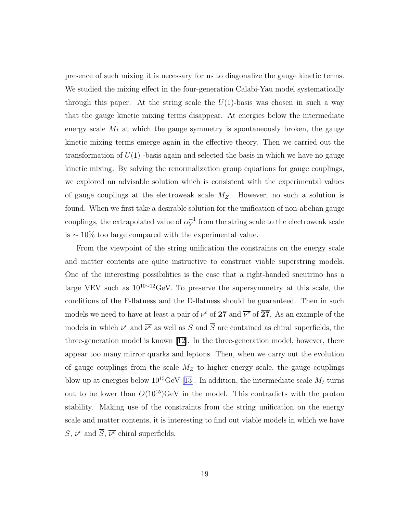presence of such mixing it is necessary for us to diagonalize the gauge kinetic terms. We studied the mixing effect in the four-generation Calabi-Yau model systematically through this paper. At the string scale the  $U(1)$ -basis was chosen in such a way that the gauge kinetic mixing terms disappear. At energies below the intermediate energy scale  $M_I$  at which the gauge symmetry is spontaneously broken, the gauge kinetic mixing terms emerge again in the effective theory. Then we carried out the transformation of  $U(1)$  -basis again and selected the basis in which we have no gauge kinetic mixing. By solving the renormalization group equations for gauge couplings, we explored an advisable solution which is consistent with the experimental values of gauge couplings at the electroweak scale  $M_Z$ . However, no such a solution is found. When we first take a desirable solution for the unification of non-abelian gauge couplings, the extrapolated value of  $\alpha_Y^{-1}$  from the string scale to the electroweak scale is ∼ 10% too large compared with the experimental value.

From the viewpoint of the string unification the constraints on the energy scale and matter contents are quite instructive to construct viable superstring models. One of the interesting possibilities is the case that a right-handed sneutrino has a large VEV such as 10<sup>10</sup>∼<sup>12</sup>GeV. To preserve the supersymmetry at this scale, the conditions of the F-flatness and the D-flatness should be guaranteed. Then in such models we need to have at least a pair of  $\nu^c$  of  $27$  and  $\overline{\nu^c}$  of  $\overline{27}$ . As an example of the models in which  $\nu^c$  and  $\overline{\nu^c}$  as well as S and  $\overline{S}$  are contained as chiral superfields, the three-generation model is known [\[12\]](#page-21-0). In the three-generation model, however, there appear too many mirror quarks and leptons. Then, when we carry out the evolution of gauge couplings from the scale  $M_Z$  to higher energy scale, the gauge couplings blow up at energies below  $10^{15}$ GeV [\[13](#page-21-0)]. In addition, the intermediate scale  $M_I$  turns out to be lower than  $O(10^{15})$ GeV in the model. This contradicts with the proton stability. Making use of the constraints from the string unification on the energy scale and matter contents, it is interesting to find out viable models in which we have S,  $\nu^c$  and  $\overline{S}$ ,  $\overline{\nu^c}$  chiral superfields.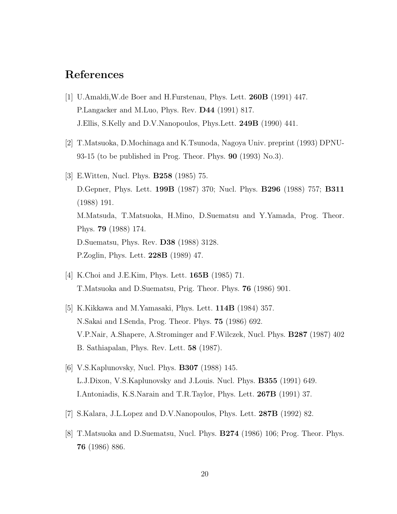# <span id="page-20-0"></span>References

- [1] U.Amaldi,W.de Boer and H.Furstenau, Phys. Lett. 260B (1991) 447. P.Langacker and M.Luo, Phys. Rev. D44 (1991) 817. J.Ellis, S.Kelly and D.V.Nanopoulos, Phys.Lett. 249B (1990) 441.
- [2] T.Matsuoka, D.Mochinaga and K.Tsunoda, Nagoya Univ. preprint (1993) DPNU-93-15 (to be published in Prog. Theor. Phys.  $90$  (1993) No.3).
- [3] E.Witten, Nucl. Phys. B258 (1985) 75. D.Gepner, Phys. Lett. 199B (1987) 370; Nucl. Phys. B296 (1988) 757; B311 (1988) 191. M.Matsuda, T.Matsuoka, H.Mino, D.Suematsu and Y.Yamada, Prog. Theor. Phys. 79 (1988) 174. D.Suematsu, Phys. Rev. D38 (1988) 3128. P.Zoglin, Phys. Lett. 228B (1989) 47.
- [4] K.Choi and J.E.Kim, Phys. Lett. 165B (1985) 71. T.Matsuoka and D.Suematsu, Prig. Theor. Phys. 76 (1986) 901.
- [5] K.Kikkawa and M.Yamasaki, Phys. Lett. 114B (1984) 357. N.Sakai and I.Senda, Prog. Theor. Phys. 75 (1986) 692. V.P.Nair, A.Shapere, A.Strominger and F.Wilczek, Nucl. Phys. B287 (1987) 402 B. Sathiapalan, Phys. Rev. Lett. 58 (1987).
- [6] V.S.Kaplunovsky, Nucl. Phys. **B307** (1988) 145. L.J.Dixon, V.S.Kaplunovsky and J.Louis. Nucl. Phys. B355 (1991) 649. I.Antoniadis, K.S.Narain and T.R.Taylor, Phys. Lett. 267B (1991) 37.
- [7] S.Kalara, J.L.Lopez and D.V.Nanopoulos, Phys. Lett. 287B (1992) 82.
- [8] T.Matsuoka and D.Suematsu, Nucl. Phys. B274 (1986) 106; Prog. Theor. Phys. 76 (1986) 886.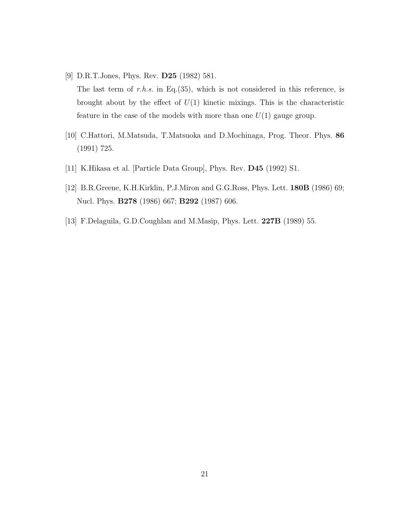- <span id="page-21-0"></span>[9] D.R.T.Jones, Phys. Rev. D25 (1982) 581. The last term of r.h.s. in Eq.(35), which is not considered in this reference, is brought about by the effect of  $U(1)$  kinetic mixings. This is the characteristic feature in the case of the models with more than one  $U(1)$  gauge group.
- [10] C.Hattori, M.Matsuda, T.Matsuoka and D.Mochinaga, Prog. Theor. Phys. 86 (1991) 725.
- [11] K.Hikasa et al. [Particle Data Group], Phys. Rev. D45 (1992) S1.
- [12] B.R.Greene, K.H.Kirklin, P.J.Miron and G.G.Ross, Phys. Lett. 180B (1986) 69; Nucl. Phys. **B278** (1986) 667; **B292** (1987) 606.
- [13] F.Delaguila, G.D.Coughlan and M.Masip, Phys. Lett. 227B (1989) 55.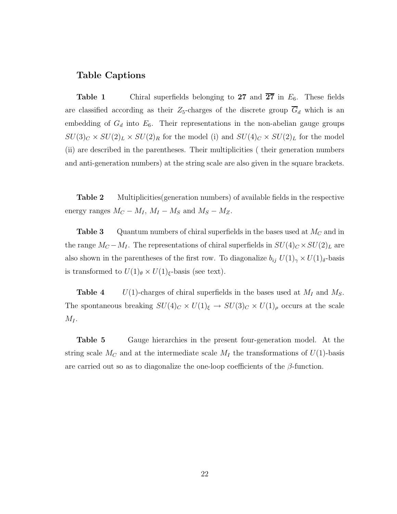#### Table Captions

**Table 1** Chiral superfields belonging to 27 and  $\overline{27}$  in  $E_6$ . These fields are classified according as their  $Z_5$ -charges of the discrete group  $\overline{G}_d$  which is an embedding of  $G_d$  into  $E_6$ . Their representations in the non-abelian gauge groups  $SU(3)_C \times SU(2)_L \times SU(2)_R$  for the model (i) and  $SU(4)_C \times SU(2)_L$  for the model (ii) are described in the parentheses. Their multiplicities ( their generation numbers and anti-generation numbers) at the string scale are also given in the square brackets.

**Table 2** Multiplicities(generation numbers) of available fields in the respective energy ranges  $M_C - M_I$ ,  $M_I - M_S$  and  $M_S - M_Z$ .

**Table 3** Quantum numbers of chiral superfields in the bases used at  $M_C$  and in the range  $M_C - M_I$ . The representations of chiral superfields in  $SU(4)_C \times SU(2)_L$  are also shown in the parentheses of the first row. To diagonalize  $b_{ij} U(1)_{\gamma} \times U(1)_{\delta}$ -basis is transformed to  $U(1)_{\theta} \times U(1)_{\xi}$ -basis (see text).

**Table 4**  $U(1)$ -charges of chiral superfields in the bases used at  $M_I$  and  $M_S$ . The spontaneous breaking  $SU(4)_C \times U(1)_\xi \to SU(3)_C \times U(1)_\rho$  occurs at the scale  $M_I$ .

Table 5 Gauge hierarchies in the present four-generation model. At the string scale  $M_C$  and at the intermediate scale  $M_I$  the transformations of  $U(1)$ -basis are carried out so as to diagonalize the one-loop coefficients of the  $\beta$ -function.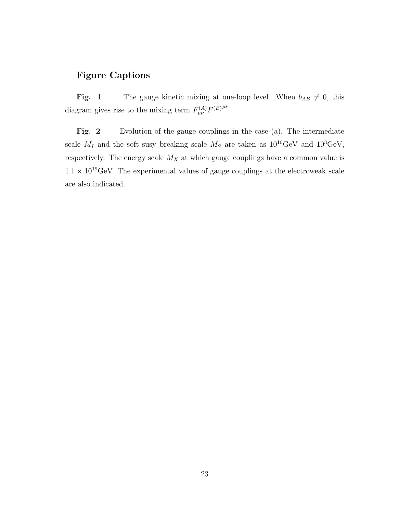### Figure Captions

Fig. 1 The gauge kinetic mixing at one-loop level. When  $b_{AB} \neq 0$ , this diagram gives rise to the mixing term  $F_{\mu\nu}^{(A)}F^{(B)\mu\nu}$ .

Fig. 2 Evolution of the gauge couplings in the case (a). The intermediate scale  $M_I$  and the soft susy breaking scale  $M_S$  are taken as  $10^{16} \text{GeV}$  and  $10^3 \text{GeV}$ , respectively. The energy scale  $M_X$  at which gauge couplings have a common value is  $1.1 \times 10^{19}$ GeV. The experimental values of gauge couplings at the electroweak scale are also indicated.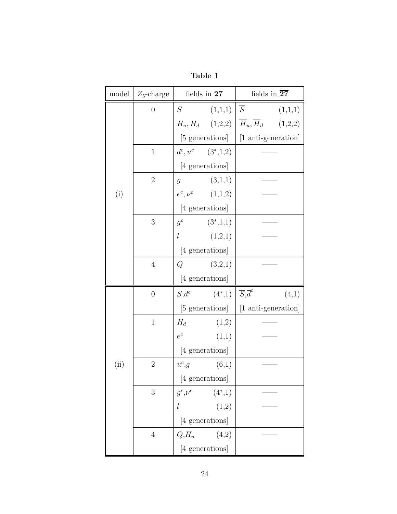| model | $Z_5$ -charge    | fields in 27    |                        | fields in $\overline{27}$                  |  |
|-------|------------------|-----------------|------------------------|--------------------------------------------|--|
|       | $\overline{0}$   | S               | (1,1,1)                | $\overline{S}$<br>(1,1,1)                  |  |
|       |                  |                 | $H_u, H_d$ (1,2,2)     | $\overline{H}_u, \overline{H}_d$ (1,2,2)   |  |
|       |                  |                 | [5 generations]        | [1 anti-generation]                        |  |
|       | $\mathbf{1}$     |                 | $d^c, u^c \t(3^*,1,2)$ |                                            |  |
|       |                  |                 | [4 generations]        |                                            |  |
|       | $\overline{2}$   | $g_{-}$         | (3,1,1)                |                                            |  |
| (i)   |                  |                 | $e^c, \nu^c$ (1,1,2)   |                                            |  |
|       |                  |                 | [4 generations]        |                                            |  |
|       | 3                | $g^c$           | $(3^*,1,1)$            |                                            |  |
|       |                  | l               | (1,2,1)                |                                            |  |
|       |                  |                 | [4 generations]        |                                            |  |
|       | $\overline{4}$   | Q               | (3,2,1)                |                                            |  |
|       |                  | [4 generations] |                        |                                            |  |
|       | $\boldsymbol{0}$ |                 | $S, d^c$ $(4^*, 1)$    | $\overline{S}$ , $\overline{d}^c$<br>(4,1) |  |
|       |                  | [5 generations] |                        | [1 anti-generation]                        |  |
|       | $\mathbf{1}$     | $H_d$           | (1,2)                  |                                            |  |
|       |                  | $e^c$           | (1,1)                  |                                            |  |
|       |                  |                 | [4 generations]        |                                            |  |
| (ii)  | $\boldsymbol{2}$ | $u^c,g$         | (6,1)                  |                                            |  |
|       |                  |                 | [4 generations]        |                                            |  |
|       | 3                | $g^c,\nu^c$     | $(4^*,1)$              |                                            |  |
|       |                  |                 | (1,2)                  |                                            |  |
|       | [4 generations]  |                 |                        |                                            |  |
|       | $\overline{4}$   | $Q, H_u$        | (4,2)                  |                                            |  |
|       |                  |                 | [4 generations]        |                                            |  |

Table 1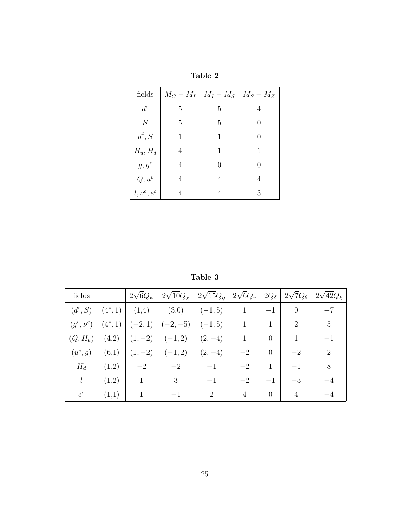| fields                         |                | $M_C - M_I \mid M_I - M_S \mid M_S - M_Z$ |                  |
|--------------------------------|----------------|-------------------------------------------|------------------|
| $d^c$                          | 5              | 5                                         | 4                |
| S                              | 5              | 5                                         | 0                |
| $\overline{d}^c, \overline{S}$ | 1              | 1                                         | 0                |
| $H_u, H_d$                     | $\overline{4}$ | 1                                         | 1                |
| $g, g^c$                       | 4              |                                           | $\left( \right)$ |
| $Q, u^c$                       | 4              | 4                                         | 4                |
| $l, \nu^c, e^c$                |                |                                           | 3                |

Table 2

Table 3

| fields    |       |                                          | $2\sqrt{6}Q_{\psi}$ $2\sqrt{10}Q_{\chi}$ $2\sqrt{15}Q_{\eta}$ $2\sqrt{6}Q_{\gamma}$ $2Q_{\delta}$ $2\sqrt{7}Q_{\theta}$ $2\sqrt{42}Q_{\xi}$ |                             |                |                |                |                 |
|-----------|-------|------------------------------------------|---------------------------------------------------------------------------------------------------------------------------------------------|-----------------------------|----------------|----------------|----------------|-----------------|
|           |       |                                          | $(d^c, S)$ $(4^*, 1)$ $(1, 4)$ $(3, 0)$ $(-1, 5)$                                                                                           |                             |                | $-1$           | $\overline{0}$ | $-7$            |
|           |       |                                          | $(g^c, \nu^c)$ $(4^*, 1)$ $(-2, 1)$ $(-2, -5)$ $(-1, 5)$                                                                                    |                             | $\overline{1}$ | $\mathbf{1}$   | 2              | $5\overline{)}$ |
|           |       |                                          | $(Q, H_u)$ $(4,2)$ $(1, -2)$ $(-1, 2)$                                                                                                      | $(2,-4)$                    |                | $\overline{0}$ | $\mathbf{1}$   | $-1$            |
| $(u^c,g)$ |       |                                          | $(6,1)$ $(1,-2)$ $(-1,2)$ $(2,-4)$                                                                                                          |                             | $-2$           | $\overline{0}$ | $-2$           | $\mathcal{D}$   |
| $H_d$     | (1,2) | $\begin{array}{ccc} -2 & -2 \end{array}$ |                                                                                                                                             | $-1$                        | $-2$           | $\mathbf{1}$   |                | 8               |
| l         | (1,2) | $\overline{1}$                           | 3                                                                                                                                           | $-1$                        | $-2$           | $-1$           | $-3$           |                 |
| $e^c$     | (1,1) | $\mathbf{1}$                             |                                                                                                                                             | $\mathcal{D}_{\mathcal{L}}$ | 4              | $\overline{0}$ | 4              |                 |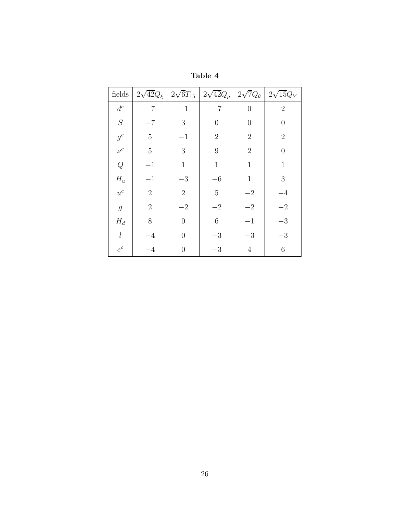| fields         | $2\sqrt{42}Q_{\xi}$ $2\sqrt{6}T_{15}$ |                | $2\sqrt{42}Q_{\rho}$ | $2\sqrt{7}Q_{\theta}$ | $2\sqrt{15}Q_Y$  |
|----------------|---------------------------------------|----------------|----------------------|-----------------------|------------------|
| $d^c$          | $-7$                                  | $-1$           | $-7$                 | $\theta$              | $\overline{2}$   |
| $\cal S$       | $-7$                                  | 3              | 0                    | $\theta$              | $\overline{0}$   |
| $g^c$          | $\overline{5}$                        | $^{-1}$        | $\overline{2}$       | $\overline{2}$        | $\overline{2}$   |
| $\nu^{c}$      | $\overline{5}$                        | 3              | 9                    | $\overline{2}$        | $\overline{0}$   |
| Q              | $-1$                                  | $\mathbf{1}$   | $\mathbf{1}$         | $\mathbf{1}$          | $\mathbf{1}$     |
| $H_u$          | $-1$                                  | $-3$           | $-6$                 | $\mathbf{1}$          | $\boldsymbol{3}$ |
| $u^c$          | $\overline{2}$                        | $\overline{2}$ | $\overline{5}$       | $-2$                  | $-4$             |
| $\mathfrak{g}$ | $\overline{2}$                        | $-2$           | $-2$                 | $-2$                  | $-2\,$           |
| $H_d$          | 8                                     | $\overline{0}$ | $\,6$                | $^{-1}$               | $-3$             |
| l              | $-4$                                  | $\overline{0}$ | $-3$                 | $-3$                  | $-3$             |
| $e^c$          | $-4$                                  | $\overline{0}$ | $-3$                 | $\overline{4}$        | 6                |

Table 4